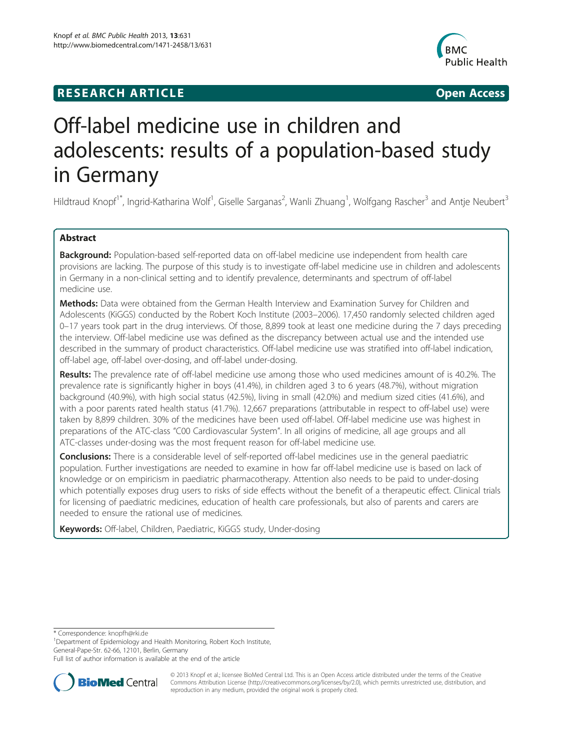# **RESEARCH ARTICLE Example 2008 CONSIDERING CONSIDERING CONSIDERING CONSIDERING CONSIDERING CONSIDERING CONSIDERING CONSIDERING CONSIDERING CONSIDERING CONSIDERING CONSIDERING CONSIDERING CONSIDERING CONSIDERING CONSIDE**



# Off-label medicine use in children and adolescents: results of a population-based study in Germany

Hildtraud Knopf<sup>1\*</sup>, Ingrid-Katharina Wolf<sup>1</sup>, Giselle Sarganas<sup>2</sup>, Wanli Zhuang<sup>1</sup>, Wolfgang Rascher<sup>3</sup> and Antje Neubert<sup>3</sup>

# Abstract

Background: Population-based self-reported data on off-label medicine use independent from health care provisions are lacking. The purpose of this study is to investigate off-label medicine use in children and adolescents in Germany in a non-clinical setting and to identify prevalence, determinants and spectrum of off-label medicine use.

Methods: Data were obtained from the German Health Interview and Examination Survey for Children and Adolescents (KiGGS) conducted by the Robert Koch Institute (2003–2006). 17,450 randomly selected children aged 0–17 years took part in the drug interviews. Of those, 8,899 took at least one medicine during the 7 days preceding the interview. Off-label medicine use was defined as the discrepancy between actual use and the intended use described in the summary of product characteristics. Off-label medicine use was stratified into off-label indication, off-label age, off-label over-dosing, and off-label under-dosing.

Results: The prevalence rate of off-label medicine use among those who used medicines amount of is 40.2%. The prevalence rate is significantly higher in boys (41.4%), in children aged 3 to 6 years (48.7%), without migration background (40.9%), with high social status (42.5%), living in small (42.0%) and medium sized cities (41.6%), and with a poor parents rated health status (41.7%). 12,667 preparations (attributable in respect to off-label use) were taken by 8,899 children. 30% of the medicines have been used off-label. Off-label medicine use was highest in preparations of the ATC-class "C00 Cardiovascular System". In all origins of medicine, all age groups and all ATC-classes under-dosing was the most frequent reason for off-label medicine use.

Conclusions: There is a considerable level of self-reported off-label medicines use in the general paediatric population. Further investigations are needed to examine in how far off-label medicine use is based on lack of knowledge or on empiricism in paediatric pharmacotherapy. Attention also needs to be paid to under-dosing which potentially exposes drug users to risks of side effects without the benefit of a therapeutic effect. Clinical trials for licensing of paediatric medicines, education of health care professionals, but also of parents and carers are needed to ensure the rational use of medicines.

Keywords: Off-label, Children, Paediatric, KiGGS study, Under-dosing

\* Correspondence: [knopfh@rki.de](mailto:knopfh@rki.de) <sup>1</sup>

<sup>1</sup>Department of Epidemiology and Health Monitoring, Robert Koch Institute, General-Pape-Str. 62-66, 12101, Berlin, Germany

Full list of author information is available at the end of the article



© 2013 Knopf et al.; licensee BioMed Central Ltd. This is an Open Access article distributed under the terms of the Creative Commons Attribution License [\(http://creativecommons.org/licenses/by/2.0\)](http://creativecommons.org/licenses/by/2.0), which permits unrestricted use, distribution, and reproduction in any medium, provided the original work is properly cited.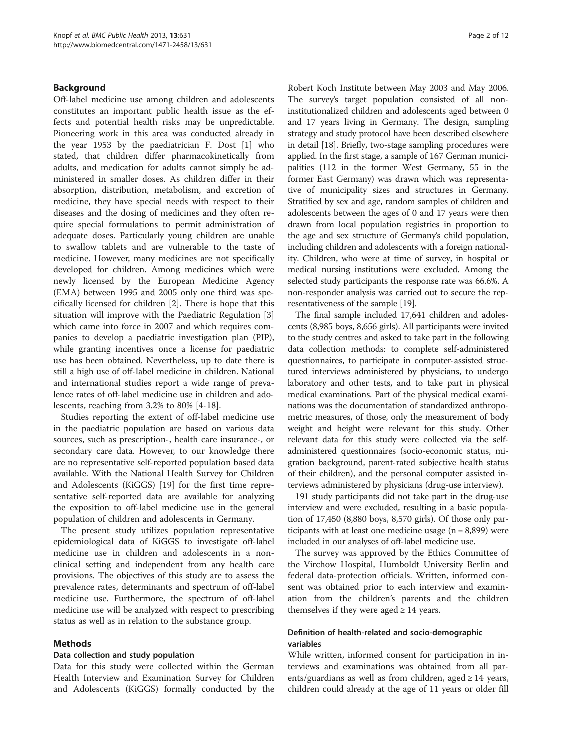# <span id="page-1-0"></span>Background

Off-label medicine use among children and adolescents constitutes an important public health issue as the effects and potential health risks may be unpredictable. Pioneering work in this area was conducted already in the year 1953 by the paediatrician F. Dost [\[1\]](#page-10-0) who stated, that children differ pharmacokinetically from adults, and medication for adults cannot simply be administered in smaller doses. As children differ in their absorption, distribution, metabolism, and excretion of medicine, they have special needs with respect to their diseases and the dosing of medicines and they often require special formulations to permit administration of adequate doses. Particularly young children are unable to swallow tablets and are vulnerable to the taste of medicine. However, many medicines are not specifically developed for children. Among medicines which were newly licensed by the European Medicine Agency (EMA) between 1995 and 2005 only one third was specifically licensed for children [[2\]](#page-10-0). There is hope that this situation will improve with the Paediatric Regulation [\[3](#page-10-0)] which came into force in 2007 and which requires companies to develop a paediatric investigation plan (PIP), while granting incentives once a license for paediatric use has been obtained. Nevertheless, up to date there is still a high use of off-label medicine in children. National and international studies report a wide range of prevalence rates of off-label medicine use in children and adolescents, reaching from 3.2% to 80% [\[4](#page-10-0)-[18\]](#page-10-0).

Studies reporting the extent of off-label medicine use in the paediatric population are based on various data sources, such as prescription-, health care insurance-, or secondary care data. However, to our knowledge there are no representative self-reported population based data available. With the National Health Survey for Children and Adolescents (KiGGS) [\[19\]](#page-10-0) for the first time representative self-reported data are available for analyzing the exposition to off-label medicine use in the general population of children and adolescents in Germany.

The present study utilizes population representative epidemiological data of KiGGS to investigate off-label medicine use in children and adolescents in a nonclinical setting and independent from any health care provisions. The objectives of this study are to assess the prevalence rates, determinants and spectrum of off-label medicine use. Furthermore, the spectrum of off-label medicine use will be analyzed with respect to prescribing status as well as in relation to the substance group.

# Methods

#### Data collection and study population

Data for this study were collected within the German Health Interview and Examination Survey for Children and Adolescents (KiGGS) formally conducted by the

Robert Koch Institute between May 2003 and May 2006. The survey's target population consisted of all noninstitutionalized children and adolescents aged between 0 and 17 years living in Germany. The design, sampling strategy and study protocol have been described elsewhere in detail [\[18](#page-10-0)]. Briefly, two-stage sampling procedures were applied. In the first stage, a sample of 167 German municipalities (112 in the former West Germany, 55 in the former East Germany) was drawn which was representative of municipality sizes and structures in Germany. Stratified by sex and age, random samples of children and adolescents between the ages of 0 and 17 years were then drawn from local population registries in proportion to the age and sex structure of Germany's child population, including children and adolescents with a foreign nationality. Children, who were at time of survey, in hospital or medical nursing institutions were excluded. Among the selected study participants the response rate was 66.6%. A non-responder analysis was carried out to secure the representativeness of the sample [\[19](#page-10-0)].

The final sample included 17,641 children and adolescents (8,985 boys, 8,656 girls). All participants were invited to the study centres and asked to take part in the following data collection methods: to complete self-administered questionnaires, to participate in computer-assisted structured interviews administered by physicians, to undergo laboratory and other tests, and to take part in physical medical examinations. Part of the physical medical examinations was the documentation of standardized anthropometric measures, of those, only the measurement of body weight and height were relevant for this study. Other relevant data for this study were collected via the selfadministered questionnaires (socio-economic status, migration background, parent-rated subjective health status of their children), and the personal computer assisted interviews administered by physicians (drug-use interview).

191 study participants did not take part in the drug-use interview and were excluded, resulting in a basic population of 17,450 (8,880 boys, 8,570 girls). Of those only participants with at least one medicine usage  $(n = 8,899)$  were included in our analyses of off-label medicine use.

The survey was approved by the Ethics Committee of the Virchow Hospital, Humboldt University Berlin and federal data-protection officials. Written, informed consent was obtained prior to each interview and examination from the children's parents and the children themselves if they were aged  $\geq 14$  years.

# Definition of health-related and socio-demographic variables

While written, informed consent for participation in interviews and examinations was obtained from all parents/guardians as well as from children, aged  $\geq 14$  years, children could already at the age of 11 years or older fill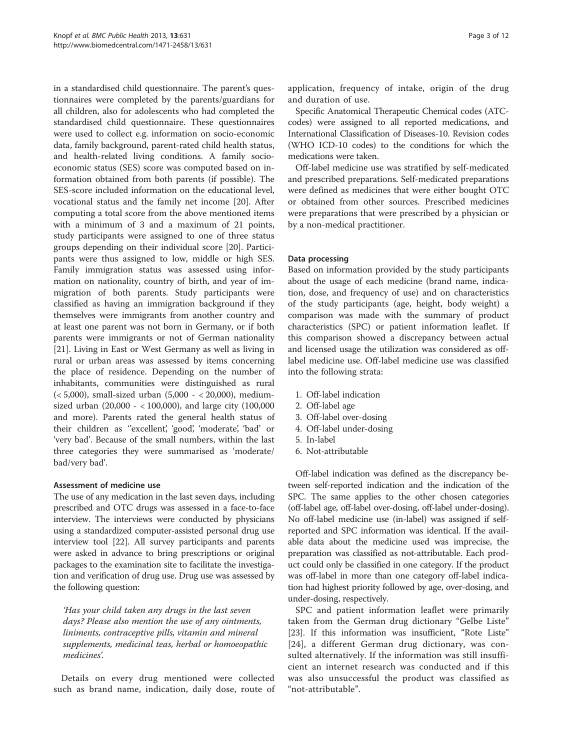in a standardised child questionnaire. The parent's questionnaires were completed by the parents/guardians for all children, also for adolescents who had completed the standardised child questionnaire. These questionnaires were used to collect e.g. information on socio-economic data, family background, parent-rated child health status, and health-related living conditions. A family socioeconomic status (SES) score was computed based on information obtained from both parents (if possible). The SES-score included information on the educational level, vocational status and the family net income [\[20\]](#page-10-0). After computing a total score from the above mentioned items with a minimum of 3 and a maximum of 21 points, study participants were assigned to one of three status groups depending on their individual score [\[20\]](#page-10-0). Participants were thus assigned to low, middle or high SES. Family immigration status was assessed using information on nationality, country of birth, and year of immigration of both parents. Study participants were classified as having an immigration background if they themselves were immigrants from another country and at least one parent was not born in Germany, or if both parents were immigrants or not of German nationality [[21\]](#page-10-0). Living in East or West Germany as well as living in rural or urban areas was assessed by items concerning the place of residence. Depending on the number of inhabitants, communities were distinguished as rural  $(< 5,000$ ), small-sized urban  $(5,000 - 20,000)$ , mediumsized urban (20,000 - < 100,000), and large city (100,000 and more). Parents rated the general health status of their children as ''excellent', 'good', 'moderate', 'bad' or 'very bad'. Because of the small numbers, within the last three categories they were summarised as 'moderate/ bad/very bad'.

# Assessment of medicine use

The use of any medication in the last seven days, including prescribed and OTC drugs was assessed in a face-to-face interview. The interviews were conducted by physicians using a standardized computer-assisted personal drug use interview tool [\[22\]](#page-10-0). All survey participants and parents were asked in advance to bring prescriptions or original packages to the examination site to facilitate the investigation and verification of drug use. Drug use was assessed by the following question:

'Has your child taken any drugs in the last seven days? Please also mention the use of any ointments, liniments, contraceptive pills, vitamin and mineral supplements, medicinal teas, herbal or homoeopathic medicines'.

Details on every drug mentioned were collected such as brand name, indication, daily dose, route of application, frequency of intake, origin of the drug and duration of use.

Specific Anatomical Therapeutic Chemical codes (ATCcodes) were assigned to all reported medications, and International Classification of Diseases-10. Revision codes (WHO ICD-10 codes) to the conditions for which the medications were taken.

Off-label medicine use was stratified by self-medicated and prescribed preparations. Self-medicated preparations were defined as medicines that were either bought OTC or obtained from other sources. Prescribed medicines were preparations that were prescribed by a physician or by a non-medical practitioner.

# Data processing

Based on information provided by the study participants about the usage of each medicine (brand name, indication, dose, and frequency of use) and on characteristics of the study participants (age, height, body weight) a comparison was made with the summary of product characteristics (SPC) or patient information leaflet. If this comparison showed a discrepancy between actual and licensed usage the utilization was considered as offlabel medicine use. Off-label medicine use was classified into the following strata:

- 1. Off-label indication
- 2. Off-label age
- 3. Off-label over-dosing
- 4. Off-label under-dosing
- 5. In-label
- 6. Not-attributable

Off-label indication was defined as the discrepancy between self-reported indication and the indication of the SPC. The same applies to the other chosen categories (off-label age, off-label over-dosing, off-label under-dosing). No off-label medicine use (in-label) was assigned if selfreported and SPC information was identical. If the available data about the medicine used was imprecise, the preparation was classified as not-attributable. Each product could only be classified in one category. If the product was off-label in more than one category off-label indication had highest priority followed by age, over-dosing, and under-dosing, respectively.

SPC and patient information leaflet were primarily taken from the German drug dictionary "Gelbe Liste" [[23](#page-10-0)]. If this information was insufficient, "Rote Liste" [[24](#page-10-0)], a different German drug dictionary, was consulted alternatively. If the information was still insufficient an internet research was conducted and if this was also unsuccessful the product was classified as "not-attributable".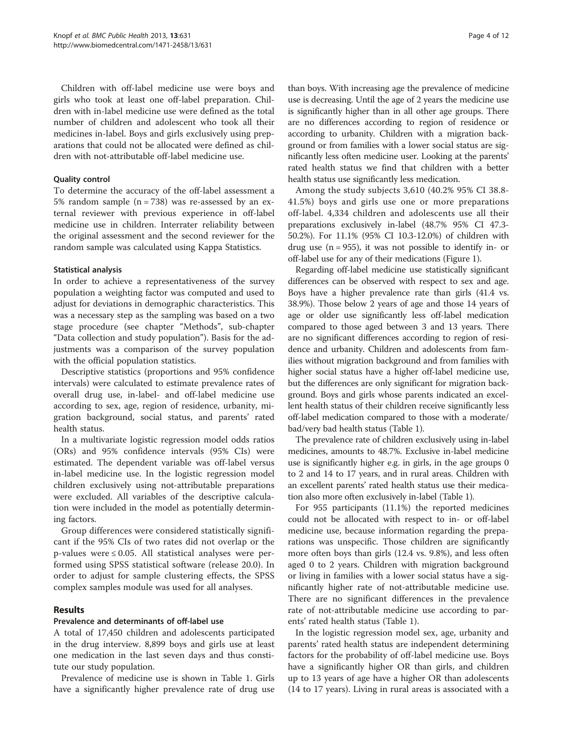Children with off-label medicine use were boys and girls who took at least one off-label preparation. Children with in-label medicine use were defined as the total number of children and adolescent who took all their medicines in-label. Boys and girls exclusively using preparations that could not be allocated were defined as children with not-attributable off-label medicine use.

# Quality control

To determine the accuracy of the off-label assessment a 5% random sample  $(n = 738)$  was re-assessed by an external reviewer with previous experience in off-label medicine use in children. Interrater reliability between the original assessment and the second reviewer for the random sample was calculated using Kappa Statistics.

# Statistical analysis

In order to achieve a representativeness of the survey population a weighting factor was computed and used to adjust for deviations in demographic characteristics. This was a necessary step as the sampling was based on a two stage procedure (see chapter "[Methods](#page-1-0)", sub-chapter "Data collection and study population"). Basis for the adjustments was a comparison of the survey population with the official population statistics.

Descriptive statistics (proportions and 95% confidence intervals) were calculated to estimate prevalence rates of overall drug use, in-label- and off-label medicine use according to sex, age, region of residence, urbanity, migration background, social status, and parents' rated health status.

In a multivariate logistic regression model odds ratios (ORs) and 95% confidence intervals (95% CIs) were estimated. The dependent variable was off-label versus in-label medicine use. In the logistic regression model children exclusively using not-attributable preparations were excluded. All variables of the descriptive calculation were included in the model as potentially determining factors.

Group differences were considered statistically significant if the 95% CIs of two rates did not overlap or the  $p$ -values were  $\leq 0.05$ . All statistical analyses were performed using SPSS statistical software (release 20.0). In order to adjust for sample clustering effects, the SPSS complex samples module was used for all analyses.

# Results

# Prevalence and determinants of off-label use

A total of 17,450 children and adolescents participated in the drug interview. 8,899 boys and girls use at least one medication in the last seven days and thus constitute our study population.

Prevalence of medicine use is shown in Table [1.](#page-4-0) Girls have a significantly higher prevalence rate of drug use

than boys. With increasing age the prevalence of medicine use is decreasing. Until the age of 2 years the medicine use is significantly higher than in all other age groups. There are no differences according to region of residence or according to urbanity. Children with a migration background or from families with a lower social status are significantly less often medicine user. Looking at the parents' rated health status we find that children with a better health status use significantly less medication.

Among the study subjects 3,610 (40.2% 95% CI 38.8- 41.5%) boys and girls use one or more preparations off-label. 4,334 children and adolescents use all their preparations exclusively in-label (48.7% 95% CI 47.3- 50.2%). For 11.1% (95% CI 10.3-12.0%) of children with drug use  $(n = 955)$ , it was not possible to identify in- or off-label use for any of their medications (Figure [1](#page-5-0)).

Regarding off-label medicine use statistically significant differences can be observed with respect to sex and age. Boys have a higher prevalence rate than girls (41.4 vs. 38.9%). Those below 2 years of age and those 14 years of age or older use significantly less off-label medication compared to those aged between 3 and 13 years. There are no significant differences according to region of residence and urbanity. Children and adolescents from families without migration background and from families with higher social status have a higher off-label medicine use, but the differences are only significant for migration background. Boys and girls whose parents indicated an excellent health status of their children receive significantly less off-label medication compared to those with a moderate/ bad/very bad health status (Table [1](#page-4-0)).

The prevalence rate of children exclusively using in-label medicines, amounts to 48.7%. Exclusive in-label medicine use is significantly higher e.g. in girls, in the age groups 0 to 2 and 14 to 17 years, and in rural areas. Children with an excellent parents' rated health status use their medication also more often exclusively in-label (Table [1](#page-4-0)).

For 955 participants (11.1%) the reported medicines could not be allocated with respect to in- or off-label medicine use, because information regarding the preparations was unspecific. Those children are significantly more often boys than girls (12.4 vs. 9.8%), and less often aged 0 to 2 years. Children with migration background or living in families with a lower social status have a significantly higher rate of not-attributable medicine use. There are no significant differences in the prevalence rate of not-attributable medicine use according to parents' rated health status (Table [1](#page-4-0)).

In the logistic regression model sex, age, urbanity and parents' rated health status are independent determining factors for the probability of off-label medicine use. Boys have a significantly higher OR than girls, and children up to 13 years of age have a higher OR than adolescents (14 to 17 years). Living in rural areas is associated with a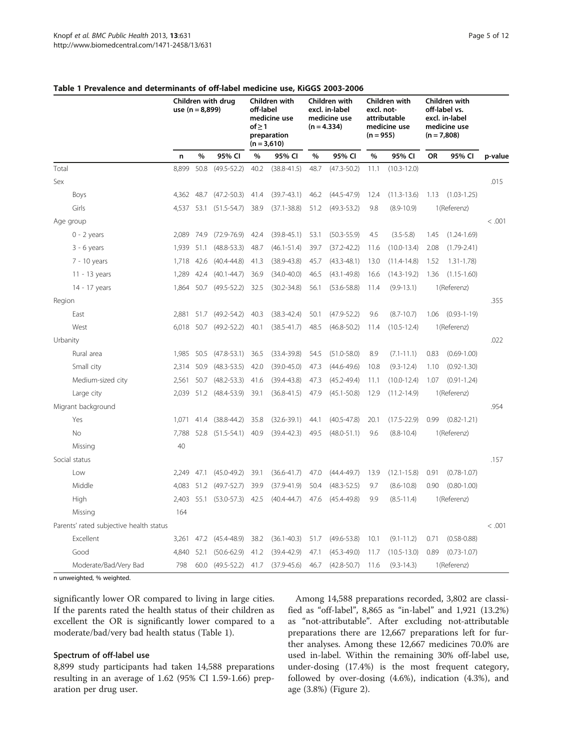|          |                                         | use $(n = 8,899)$ |      | Children with drug | off-label<br>of > 1 | Children with<br>medicine use<br>preparation<br>$(n = 3,610)$ |               | Children with<br>excl. in-label<br>medicine use<br>$(n = 4.334)$ | Children with<br>excl. not-<br>attributable<br>medicine use<br>$(n = 955)$ |                 | Children with<br>off-label vs.<br>excl. in-label<br>medicine use<br>$(n = 7,808)$ |                   |         |
|----------|-----------------------------------------|-------------------|------|--------------------|---------------------|---------------------------------------------------------------|---------------|------------------------------------------------------------------|----------------------------------------------------------------------------|-----------------|-----------------------------------------------------------------------------------|-------------------|---------|
|          |                                         | n                 | $\%$ | 95% CI             | %                   | 95% CI                                                        | $\frac{0}{0}$ | 95% CI                                                           | $\%$                                                                       | 95% CI          | OR                                                                                | 95% CI            | p-value |
| Total    |                                         | 8,899             | 50.8 | $(49.5 - 52.2)$    | 40.2                | $(38.8 - 41.5)$                                               | 48.7          | $(47.3 - 50.2)$                                                  | 11.1                                                                       | $(10.3 - 12.0)$ |                                                                                   |                   |         |
| Sex      |                                         |                   |      |                    |                     |                                                               |               |                                                                  |                                                                            |                 |                                                                                   |                   | .015    |
|          | Boys                                    | 4,362 48.7        |      | $(47.2 - 50.3)$    | 41.4                | $(39.7 - 43.1)$                                               | 46.2          | $(44.5 - 47.9)$                                                  | 12.4                                                                       | $(11.3 - 13.6)$ | 1.13                                                                              | $(1.03 - 1.25)$   |         |
|          | Girls                                   | 4,537             | 53.1 | $(51.5 - 54.7)$    | 38.9                | $(37.1 - 38.8)$                                               | 51.2          | $(49.3 - 53.2)$                                                  | 9.8                                                                        | $(8.9 - 10.9)$  |                                                                                   | 1(Referenz)       |         |
|          | Age group                               |                   |      |                    |                     |                                                               |               |                                                                  |                                                                            |                 |                                                                                   |                   | < .001  |
|          | $0 - 2$ years                           | 2,089             | 74.9 | $(72.9 - 76.9)$    | 42.4                | $(39.8 - 45.1)$                                               | 53.1          | $(50.3 - 55.9)$                                                  | 4.5                                                                        | $(3.5 - 5.8)$   | 1.45                                                                              | $(1.24 - 1.69)$   |         |
|          | $3 - 6$ years                           | 1,939             | 51.1 | $(48.8 - 53.3)$    | 48.7                | $(46.1 - 51.4)$                                               | 39.7          | $(37.2 - 42.2)$                                                  | 11.6                                                                       | $(10.0 - 13.4)$ | 2.08                                                                              | $(1.79 - 2.41)$   |         |
|          | 7 - 10 years                            | 1,718             | 42.6 | $(40.4 - 44.8)$    | 41.3                | $(38.9 - 43.8)$                                               | 45.7          | $(43.3 - 48.1)$                                                  | 13.0                                                                       | $(11.4 - 14.8)$ | 1.52                                                                              | $1.31 - 1.78$     |         |
|          | 11 - 13 years                           | 1,289             | 42.4 | $(40.1 - 44.7)$    | 36.9                | $(34.0 - 40.0)$                                               | 46.5          | $(43.1 - 49.8)$                                                  | 16.6                                                                       | $(14.3 - 19.2)$ | 1.36                                                                              | $(1.15 - 1.60)$   |         |
|          | 14 - 17 years                           | 1.864             | 50.7 | $(49.5 - 52.2)$    | 32.5                | $(30.2 - 34.8)$                                               | 56.1          | $(53.6 - 58.8)$                                                  | 11.4                                                                       | $(9.9 - 13.1)$  |                                                                                   | 1(Referenz)       |         |
| Region   |                                         |                   |      |                    |                     |                                                               |               |                                                                  |                                                                            |                 |                                                                                   |                   | .355    |
|          | East                                    | 2,881             | 51.7 | $(49.2 - 54.2)$    | 40.3                | $(38.3 - 42.4)$                                               | 50.1          | $(47.9 - 52.2)$                                                  | 9.6                                                                        | $(8.7 - 10.7)$  | 1.06                                                                              | $(0.93 - 1 - 19)$ |         |
|          | West                                    | 6,018 50.7        |      | $(49.2 - 52.2)$    | 40.1                | $(38.5 - 41.7)$                                               | 48.5          | $(46.8 - 50.2)$                                                  | 11.4                                                                       | $(10.5 - 12.4)$ |                                                                                   | 1(Referenz)       |         |
| Urbanity |                                         |                   |      |                    |                     |                                                               |               |                                                                  |                                                                            |                 |                                                                                   |                   | .022    |
|          | Rural area                              | 1,985             | 50.5 | $(47.8 - 53.1)$    | 36.5                | $(33.4 - 39.8)$                                               | 54.5          | $(51.0 - 58.0)$                                                  | 8.9                                                                        | $(7.1 - 11.1)$  | 0.83                                                                              | $(0.69 - 1.00)$   |         |
|          | Small city                              | 2,314             | 50.9 | $(48.3 - 53.5)$    | 42.0                | $(39.0 - 45.0)$                                               | 47.3          | $(44.6 - 49.6)$                                                  | 10.8                                                                       | $(9.3 - 12.4)$  | 1.10                                                                              | $(0.92 - 1.30)$   |         |
|          | Medium-sized city                       | 2,561             | 50.7 | $(48.2 - 53.3)$    | 41.6                | $(39.4 - 43.8)$                                               | 47.3          | $(45.2 - 49.4)$                                                  | 11.1                                                                       | $(10.0 - 12.4)$ | 1.07                                                                              | $(0.91 - 1.24)$   |         |
|          | Large city                              | 2,039 51.2        |      | $(48.4 - 53.9)$    | 39.1                | $(36.8 - 41.5)$                                               | 47.9          | $(45.1 - 50.8)$                                                  | 12.9                                                                       | $(11.2 - 14.9)$ |                                                                                   | 1(Referenz)       |         |
|          | Migrant background                      |                   |      |                    |                     |                                                               |               |                                                                  |                                                                            |                 |                                                                                   |                   | .954    |
|          | Yes                                     | 1.071             | 41.4 | $(38.8 - 44.2)$    | 35.8                | $(32.6 - 39.1)$                                               | 44.1          | $(40.5 - 47.8)$                                                  | 20.1                                                                       | $(17.5 - 22.9)$ | 0.99                                                                              | $(0.82 - 1.21)$   |         |
|          | No                                      | 7,788             | 52.8 | $(51.5 - 54.1)$    | 40.9                | $(39.4 - 42.3)$                                               | 49.5          | $(48.0 - 51.1)$                                                  | 9.6                                                                        | $(8.8 - 10.4)$  |                                                                                   | 1(Referenz)       |         |
|          | Missing                                 | 40                |      |                    |                     |                                                               |               |                                                                  |                                                                            |                 |                                                                                   |                   |         |
|          | Social status                           |                   |      |                    |                     |                                                               |               |                                                                  |                                                                            |                 |                                                                                   |                   | .157    |
|          | Low                                     | 2,249             | 47.1 | $(45.0 - 49.2)$    | 39.1                | $(36.6 - 41.7)$                                               | 47.0          | $(44.4 - 49.7)$                                                  | 13.9                                                                       | $(12.1 - 15.8)$ | 0.91                                                                              | $(0.78 - 1.07)$   |         |
|          | Middle                                  | 4,083             | 51.2 | $(49.7 - 52.7)$    | 39.9                | $(37.9 - 41.9)$                                               | 50.4          | $(48.3 - 52.5)$                                                  | 9.7                                                                        | $(8.6 - 10.8)$  | 0.90                                                                              | $(0.80 - 1.00)$   |         |
|          | High                                    | 2,403             | 55.1 | $(53.0 - 57.3)$    | 42.5                | $(40.4 - 44.7)$                                               | 47.6          | $(45.4 - 49.8)$                                                  | 9.9                                                                        | $(8.5 - 11.4)$  |                                                                                   | 1(Referenz)       |         |
|          | Missing                                 | 164               |      |                    |                     |                                                               |               |                                                                  |                                                                            |                 |                                                                                   |                   |         |
|          | Parents' rated subjective health status |                   |      |                    |                     |                                                               |               |                                                                  |                                                                            |                 |                                                                                   |                   | < .001  |
|          | Excellent                               | 3,261             | 47.2 | $(45.4 - 48.9)$    | 38.2                | $(36.1 - 40.3)$                                               | 51.7          | $(49.6 - 53.8)$                                                  | 10.1                                                                       | $(9.1 - 11.2)$  | 0.71                                                                              | $(0.58 - 0.88)$   |         |
|          | Good                                    | 4,840             | 52.1 | $(50.6 - 62.9)$    | 41.2                | $(39.4 - 42.9)$                                               | 47.1          | $(45.3 - 49.0)$                                                  | 11.7                                                                       | $(10.5 - 13.0)$ | 0.89                                                                              | $(0.73 - 1.07)$   |         |
|          | Moderate/Bad/Very Bad                   | 798               | 60.0 | $(49.5 - 52.2)$    | 41.7                | $(37.9 - 45.6)$                                               | 46.7          | $(42.8 - 50.7)$                                                  | 11.6                                                                       | $(9.3 - 14.3)$  |                                                                                   | 1(Referenz)       |         |

# <span id="page-4-0"></span>Table 1 Prevalence and determinants of off-label medicine use, KiGGS 2003-2006

n unweighted, % weighted.

significantly lower OR compared to living in large cities. If the parents rated the health status of their children as excellent the OR is significantly lower compared to a moderate/bad/very bad health status (Table 1).

# Spectrum of off-label use

8,899 study participants had taken 14,588 preparations resulting in an average of 1.62 (95% CI 1.59-1.66) preparation per drug user.

Among 14,588 preparations recorded, 3,802 are classified as "off-label", 8,865 as "in-label" and 1,921 (13.2%) as "not-attributable". After excluding not-attributable preparations there are 12,667 preparations left for further analyses. Among these 12,667 medicines 70.0% are used in-label. Within the remaining 30% off-label use, under-dosing (17.4%) is the most frequent category, followed by over-dosing (4.6%), indication (4.3%), and age (3.8%) (Figure [2](#page-5-0)).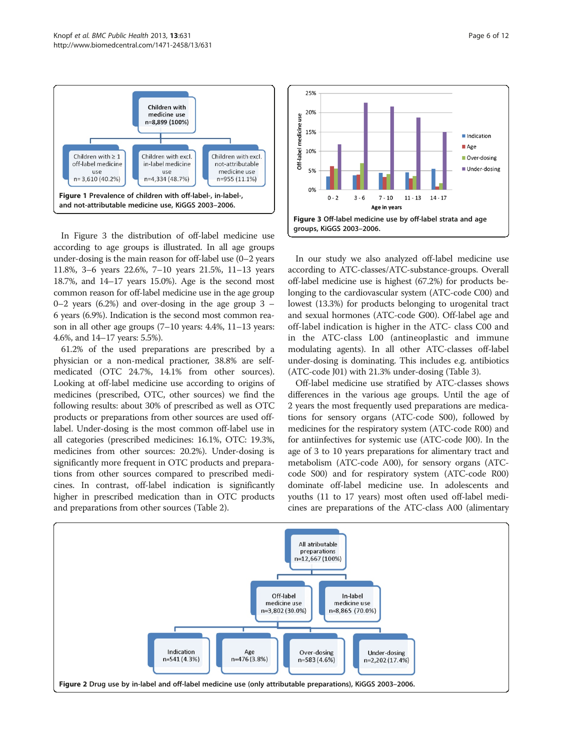<span id="page-5-0"></span>

In Figure 3 the distribution of off-label medicine use according to age groups is illustrated. In all age groups under-dosing is the main reason for off-label use (0–2 years 11.8%, 3–6 years 22.6%, 7–10 years 21.5%, 11–13 years 18.7%, and 14–17 years 15.0%). Age is the second most common reason for off-label medicine use in the age group  $0-2$  years (6.2%) and over-dosing in the age group 3 – 6 years (6.9%). Indication is the second most common reason in all other age groups (7–10 years: 4.4%, 11–13 years: 4.6%, and 14–17 years: 5.5%).

61.2% of the used preparations are prescribed by a physician or a non-medical practioner, 38.8% are selfmedicated (OTC 24.7%, 14.1% from other sources). Looking at off-label medicine use according to origins of medicines (prescribed, OTC, other sources) we find the following results: about 30% of prescribed as well as OTC products or preparations from other sources are used offlabel. Under-dosing is the most common off-label use in all categories (prescribed medicines: 16.1%, OTC: 19.3%, medicines from other sources: 20.2%). Under-dosing is significantly more frequent in OTC products and preparations from other sources compared to prescribed medicines. In contrast, off-label indication is significantly higher in prescribed medication than in OTC products and preparations from other sources (Table [2](#page-6-0)).



In our study we also analyzed off-label medicine use according to ATC-classes/ATC-substance-groups. Overall off-label medicine use is highest (67.2%) for products belonging to the cardiovascular system (ATC-code C00) and lowest (13.3%) for products belonging to urogenital tract and sexual hormones (ATC-code G00). Off-label age and off-label indication is higher in the ATC- class C00 and in the ATC-class L00 (antineoplastic and immune modulating agents). In all other ATC-classes off-label under-dosing is dominating. This includes e.g. antibiotics (ATC-code J01) with 21.3% under-dosing (Table [3\)](#page-7-0).

Off-label medicine use stratified by ATC-classes shows differences in the various age groups. Until the age of 2 years the most frequently used preparations are medications for sensory organs (ATC-code S00), followed by medicines for the respiratory system (ATC-code R00) and for antiinfectives for systemic use (ATC-code J00). In the age of 3 to 10 years preparations for alimentary tract and metabolism (ATC-code A00), for sensory organs (ATCcode S00) and for respiratory system (ATC-code R00) dominate off-label medicine use. In adolescents and youths (11 to 17 years) most often used off-label medicines are preparations of the ATC-class A00 (alimentary

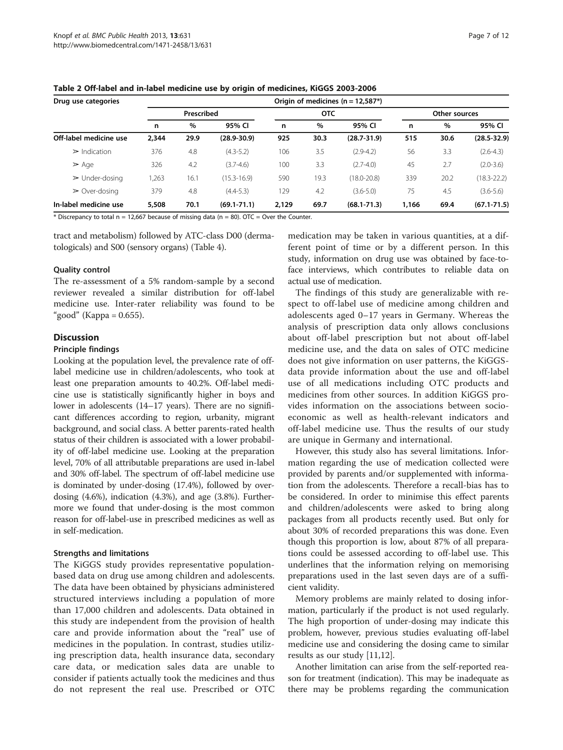| Page 7 of 12 |  |  |
|--------------|--|--|
|              |  |  |

| Drug use categories           | Origin of medicines ( $n = 12,587$ *) |      |                 |       |            |                 |               |      |                 |  |  |  |
|-------------------------------|---------------------------------------|------|-----------------|-------|------------|-----------------|---------------|------|-----------------|--|--|--|
|                               | Prescribed                            |      |                 |       | <b>OTC</b> |                 | Other sources |      |                 |  |  |  |
|                               | n                                     | %    | 95% CI          | n     | $\%$       | 95% CI          | n             | %    | 95% CI          |  |  |  |
| Off-label medicine use        | 2.344                                 | 29.9 | $(28.9 - 30.9)$ | 925   | 30.3       | $(28.7 - 31.9)$ | 515           | 30.6 | $(28.5 - 32.9)$ |  |  |  |
| $\triangleright$ Indication   | 376                                   | 4.8  | $(4.3 - 5.2)$   | 106   | 3.5        | $(2.9 - 4.2)$   | 56            | 3.3  | $(2.6 - 4.3)$   |  |  |  |
| $\geq$ Age                    | 326                                   | 4.2  | $(3.7 - 4.6)$   | 100   | 3.3        | $(2.7 - 4.0)$   | 45            | 2.7  | $(2.0 - 3.6)$   |  |  |  |
| $\triangleright$ Under-dosing | ,263                                  | 16.1 | $(15.3 - 16.9)$ | 590   | 19.3       | $(18.0 - 20.8)$ | 339           | 20.2 | $(18.3 - 22.2)$ |  |  |  |
| $\geq$ Over-dosing            | 379                                   | 4.8  | $(4.4 - 5.3)$   | 129   | 4.2        | $(3.6 - 5.0)$   | 75            | 4.5  | $(3.6 - 5.6)$   |  |  |  |
| In-label medicine use         | 5,508                                 | 70.1 | $(69.1 - 71.1)$ | 2.129 | 69.7       | $(68.1 - 71.3)$ | 1,166         | 69.4 | $(67.1 - 71.5)$ |  |  |  |

<span id="page-6-0"></span>Table 2 Off-label and in-label medicine use by origin of medicines, KiGGS 2003-2006

 $*$  Discrepancy to total n = 12,667 because of missing data (n = 80). OTC = Over the Counter.

tract and metabolism) followed by ATC-class D00 (dermatologicals) and S00 (sensory organs) (Table [4](#page-8-0)).

# Quality control

The re-assessment of a 5% random-sample by a second reviewer revealed a similar distribution for off-label medicine use. Inter-rater reliability was found to be "good" (Kappa =  $0.655$ ).

# **Discussion**

#### Principle findings

Looking at the population level, the prevalence rate of offlabel medicine use in children/adolescents, who took at least one preparation amounts to 40.2%. Off-label medicine use is statistically significantly higher in boys and lower in adolescents (14–17 years). There are no significant differences according to region, urbanity, migrant background, and social class. A better parents-rated health status of their children is associated with a lower probability of off-label medicine use. Looking at the preparation level, 70% of all attributable preparations are used in-label and 30% off-label. The spectrum of off-label medicine use is dominated by under-dosing (17.4%), followed by overdosing (4.6%), indication (4.3%), and age (3.8%). Furthermore we found that under-dosing is the most common reason for off-label-use in prescribed medicines as well as in self-medication.

#### Strengths and limitations

The KiGGS study provides representative populationbased data on drug use among children and adolescents. The data have been obtained by physicians administered structured interviews including a population of more than 17,000 children and adolescents. Data obtained in this study are independent from the provision of health care and provide information about the "real" use of medicines in the population. In contrast, studies utilizing prescription data, health insurance data, secondary care data, or medication sales data are unable to consider if patients actually took the medicines and thus do not represent the real use. Prescribed or OTC

medication may be taken in various quantities, at a different point of time or by a different person. In this study, information on drug use was obtained by face-toface interviews, which contributes to reliable data on actual use of medication.

The findings of this study are generalizable with respect to off-label use of medicine among children and adolescents aged 0–17 years in Germany. Whereas the analysis of prescription data only allows conclusions about off-label prescription but not about off-label medicine use, and the data on sales of OTC medicine does not give information on user patterns, the KiGGSdata provide information about the use and off-label use of all medications including OTC products and medicines from other sources. In addition KiGGS provides information on the associations between socioeconomic as well as health-relevant indicators and off-label medicine use. Thus the results of our study are unique in Germany and international.

However, this study also has several limitations. Information regarding the use of medication collected were provided by parents and/or supplemented with information from the adolescents. Therefore a recall-bias has to be considered. In order to minimise this effect parents and children/adolescents were asked to bring along packages from all products recently used. But only for about 30% of recorded preparations this was done. Even though this proportion is low, about 87% of all preparations could be assessed according to off-label use. This underlines that the information relying on memorising preparations used in the last seven days are of a sufficient validity.

Memory problems are mainly related to dosing information, particularly if the product is not used regularly. The high proportion of under-dosing may indicate this problem, however, previous studies evaluating off-label medicine use and considering the dosing came to similar results as our study [[11,12](#page-10-0)].

Another limitation can arise from the self-reported reason for treatment (indication). This may be inadequate as there may be problems regarding the communication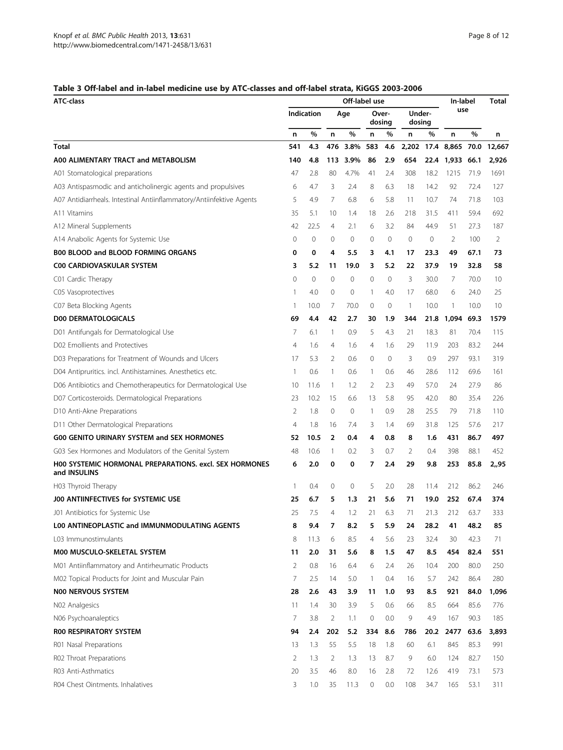# <span id="page-7-0"></span>Table 3 Off-label and in-label medicine use by ATC-classes and off-label strata, KiGGS 2003-2006

| <b>ATC-class</b>                                                              |                | Off-label use |                |      |                 |     |                  |      |                 |      | <b>Total</b> |
|-------------------------------------------------------------------------------|----------------|---------------|----------------|------|-----------------|-----|------------------|------|-----------------|------|--------------|
|                                                                               |                | Indication    | Age            |      | Over-<br>dosing |     | Under-<br>dosing |      | use             |      |              |
|                                                                               | n              | %             | n              | %    | n               | %   | n                | %    | n               | %    | n            |
| Total                                                                         | 541            | 4.3           | 476            | 3.8% | 583             | 4.6 | 2,202            |      | 17.4 8,865 70.0 |      | 12.667       |
| A00 ALIMENTARY TRACT and METABOLISM                                           | 140            | 4.8           | 113            | 3.9% | 86              | 2.9 | 654              | 22.4 | 1,933 66.1      |      | 2,926        |
| A01 Stomatological preparations                                               | 47             | 2.8           | 80             | 4.7% | 41              | 2.4 | 308              | 18.2 | 1215            | 71.9 | 1691         |
| A03 Antispasmodic and anticholinergic agents and propulsives                  | 6              | 4.7           | 3              | 2.4  | 8               | 6.3 | 18               | 14.2 | 92              | 72.4 | 127          |
| A07 Antidiarrheals. Intestinal Antiinflammatory/Antiinfektive Agents          | 5              | 4.9           | 7              | 6.8  | 6               | 5.8 | 11               | 10.7 | 74              | 71.8 | 103          |
| A11 Vitamins                                                                  | 35             | 5.1           | 10             | 1.4  | 18              | 2.6 | 218              | 31.5 | 411             | 59.4 | 692          |
| A12 Mineral Supplements                                                       | 42             | 22.5          | 4              | 2.1  | 6               | 3.2 | 84               | 44.9 | 51              | 27.3 | 187          |
| A14 Anabolic Agents for Systemic Use                                          | 0              | $\mathbf{0}$  | 0              | 0    | 0               | 0   | $\mathbf{0}$     | 0    | 2               | 100  | 2            |
| B00 BLOOD and BLOOD FORMING ORGANS                                            | 0              | 0             | 4              | 5.5  | 3               | 4.1 | 17               | 23.3 | 49              | 67.1 | 73           |
| <b>C00 CARDIOVASKULAR SYSTEM</b>                                              | 3              | 5.2           | 11             | 19.0 | 3               | 5.2 | 22               | 37.9 | 19              | 32.8 | 58           |
| C01 Cardic Therapy                                                            | $\mathbf 0$    | $\mathbf 0$   | 0              | 0    | $\mathbf 0$     | 0   | 3                | 30.0 | 7               | 70.0 | 10           |
| C05 Vasoprotectives                                                           | $\mathbf{1}$   | 4.0           | 0              | 0    | $\mathbf{1}$    | 4.0 | 17               | 68.0 | 6               | 24.0 | 25           |
| C07 Beta Blocking Agents                                                      | -1             | 10.0          | 7              | 70.0 | 0               | 0   | $\mathbf{1}$     | 10.0 | 1               | 10.0 | 10           |
| <b>D00 DERMATOLOGICALS</b>                                                    | 69             | 4.4           | 42             | 2.7  | 30              | 1.9 | 344              | 21.8 | 1,094           | 69.3 | 1579         |
| D01 Antifungals for Dermatological Use                                        | 7              | 6.1           | 1              | 0.9  | 5               | 4.3 | 21               | 18.3 | 81              | 70.4 | 115          |
| D02 Emollients and Protectives                                                | $\overline{4}$ | 1.6           | 4              | 1.6  | 4               | 1.6 | 29               | 11.9 | 203             | 83.2 | 244          |
| D03 Preparations for Treatment of Wounds and Ulcers                           | 17             | 5.3           | 2              | 0.6  | 0               | 0   | 3                | 0.9  | 297             | 93.1 | 319          |
| D04 Antipruritics. incl. Antihistamines. Anesthetics etc.                     | $\mathbf{1}$   | 0.6           | 1              | 0.6  | 1               | 0.6 | 46               | 28.6 | 112             | 69.6 | 161          |
| D06 Antibiotics and Chemotherapeutics for Dermatological Use                  | 10             | 11.6          | $\mathbf{1}$   | 1.2  | 2               | 2.3 | 49               | 57.0 | 24              | 27.9 | 86           |
| D07 Corticosteroids. Dermatological Preparations                              | 23             | 10.2          | 15             | 6.6  | 13              | 5.8 | 95               | 42.0 | 80              | 35.4 | 226          |
| D10 Anti-Akne Preparations                                                    | 2              | 1.8           | 0              | 0    | $\mathbf{1}$    | 0.9 | 28               | 25.5 | 79              | 71.8 | 110          |
| D11 Other Dermatological Preparations                                         | $\overline{4}$ | 1.8           | 16             | 7.4  | 3               | 1.4 | 69               | 31.8 | 125             | 57.6 | 217          |
| <b>G00 GENITO URINARY SYSTEM and SEX HORMONES</b>                             | 52             | 10.5          | $\overline{2}$ | 0.4  | 4               | 0.8 | 8                | 1.6  | 431             | 86.7 | 497          |
| G03 Sex Hormones and Modulators of the Genital System                         | 48             | 10.6          | 1              | 0.2  | 3               | 0.7 | 2                | 0.4  | 398             | 88.1 | 452          |
| <b>H00 SYSTEMIC HORMONAL PREPARATIONS, excl. SEX HORMONES</b><br>and INSULINS | 6              | 2.0           | 0              | 0    | 7               | 2.4 | 29               | 9.8  | 253             | 85.8 | 2,,95        |
| H03 Thyroid Therapy                                                           | -1             | 0.4           | 0              | 0    | 5               | 2.0 | 28               | 11.4 | 212             | 86.2 | 246          |
| J00 ANTIINFECTIVES for SYSTEMIC USE                                           | 25             | 6.7           | 5              | 1.3  | 21              | 5.6 | 71               | 19.0 | 252             | 67.4 | 374          |
| J01 Antibiotics for Systemic Use                                              | 25             | 7.5           | 4              | 1.2  | 21              | 6.3 | 71               | 21.3 | 212             | 63.7 | 333          |
| L00 ANTINEOPLASTIC and IMMUNMODULATING AGENTS                                 | 8              | 9.4           | 7              | 8.2  | 5               | 5.9 | 24               | 28.2 | 41              | 48.2 | 85           |
| L03 Immunostimulants                                                          | 8              | 11.3          | 6              | 8.5  | $\overline{4}$  | 5.6 | 23               | 32.4 | 30              | 42.3 | 71           |
| M00 MUSCULO-SKELETAL SYSTEM                                                   | 11             | 2.0           | 31             | 5.6  | 8               | 1.5 | 47               | 8.5  | 454             | 82.4 | 551          |
| M01 Antiinflammatory and Antirheumatic Products                               | 2              | 0.8           | 16             | 6.4  | 6               | 2.4 | 26               | 10.4 | 200             | 80.0 | 250          |
| M02 Topical Products for Joint and Muscular Pain                              | 7              | 2.5           | 14             | 5.0  | $\mathbf{1}$    | 0.4 | 16               | 5.7  | 242             | 86.4 | 280          |
| N00 NERVOUS SYSTEM                                                            | 28             | 2.6           | 43             | 3.9  | 11              | 1.0 | 93               | 8.5  | 921             | 84.0 | 1,096        |
| N02 Analgesics                                                                | 11             | 1.4           | 30             | 3.9  | 5               | 0.6 | 66               | 8.5  | 664             | 85.6 | 776          |
| N06 Psychoanaleptics                                                          | 7              | 3.8           | $\overline{2}$ | 1.1  | $\mathbf 0$     | 0.0 | 9                | 4.9  | 167             | 90.3 | 185          |
| ROO RESPIRATORY SYSTEM                                                        | 94             | 2.4           | 202            | 5.2  | 334             | 8.6 | 786              | 20.2 | 2477            | 63.6 | 3,893        |
| R01 Nasal Preparations                                                        | 13             | 1.3           | 55             | 5.5  | 18              | 1.8 | 60               | 6.1  | 845             | 85.3 | 991          |
| R02 Throat Preparations                                                       | $\overline{2}$ | 1.3           | $\overline{2}$ | 1.3  | 13              | 8.7 | 9                | 6.0  | 124             | 82.7 | 150          |
| R03 Anti-Asthmatics                                                           | 20             | 3.5           | 46             | 8.0  | 16              | 2.8 | 72               | 12.6 | 419             | 73.1 | 573          |
| R04 Chest Ointments. Inhalatives                                              | 3              | 1.0           | 35             | 11.3 | $\circ$         | 0.0 | 108              | 34.7 | 165             | 53.1 | 311          |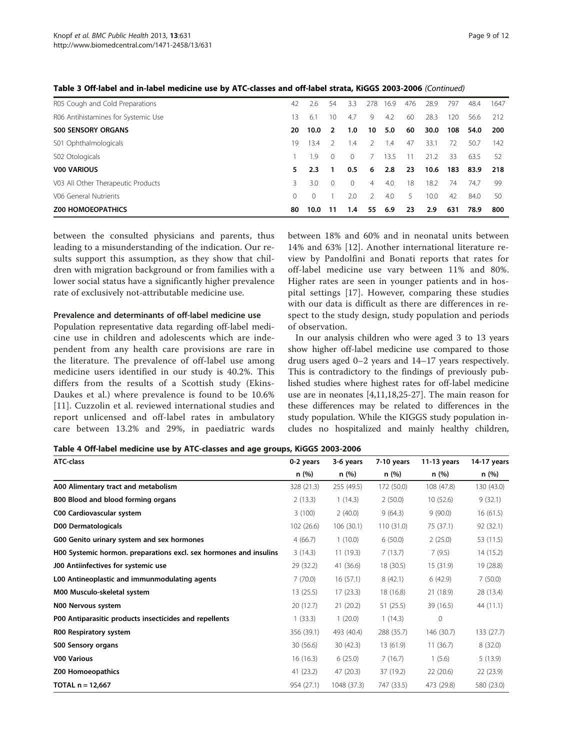| R05 Cough and Cold Preparations     | 42       | 2.6  | 54       | 3.3      | 278           | 16.9 | 476 | 28.9 | 797 | 48.4 | 1647 |
|-------------------------------------|----------|------|----------|----------|---------------|------|-----|------|-----|------|------|
| R06 Antihistamines for Systemic Use | 13       | 6.1  | 10       | 4.7      | 9             | 4.2  | 60  | 28.3 | 120 | 56.6 | 212  |
| <b>S00 SENSORY ORGANS</b>           | 20       | 10.0 | 2        | 1.0      | 10            | 5.0  | 60  | 30.0 | 108 | 54.0 | 200  |
| S01 Ophthalmologicals               | 19       | 134  |          | l.4      |               | 1.4  | 47  | 33.1 | 72  | 50.7 | 142  |
| S02 Otologicals                     |          | - 9  | $\Omega$ | $\Omega$ |               | 13.5 |     | 21.2 | 33  | 63.5 | 52   |
| <b>V00 VARIOUS</b>                  | 5.       | 2.3  |          | 0.5      | 6             | 2.8  | 23  | 10.6 | 183 | 83.9 | 218  |
| V03 All Other Therapeutic Products  | 3        | 3.0  | $\Omega$ | $\Omega$ | 4             | 4.0  | 18  | 18.2 | 74  | 74.7 | -99  |
| V06 General Nutrients               | $\Omega$ |      |          | 2.0      | $\mathcal{P}$ | 4.0  | 5   | 10.0 | 42  | 84.0 | 50   |
| <b>Z00 HOMOEOPATHICS</b>            | 80       | 10.0 | 11       | 1.4      | 55            | 6.9  | 23  | 2.9  | 631 | 78.9 | 800  |

<span id="page-8-0"></span>Table 3 Off-label and in-label medicine use by ATC-classes and off-label strata, KiGGS 2003-2006 (Continued)

between the consulted physicians and parents, thus leading to a misunderstanding of the indication. Our results support this assumption, as they show that children with migration background or from families with a lower social status have a significantly higher prevalence rate of exclusively not-attributable medicine use.

#### Prevalence and determinants of off-label medicine use

Population representative data regarding off-label medicine use in children and adolescents which are independent from any health care provisions are rare in the literature. The prevalence of off-label use among medicine users identified in our study is 40.2%. This differs from the results of a Scottish study (Ekins-Daukes et al.) where prevalence is found to be 10.6% [[11](#page-10-0)]. Cuzzolin et al. reviewed international studies and report unlicensed and off-label rates in ambulatory care between 13.2% and 29%, in paediatric wards between 18% and 60% and in neonatal units between 14% and 63% [\[12\]](#page-10-0). Another international literature review by Pandolfini and Bonati reports that rates for off-label medicine use vary between 11% and 80%. Higher rates are seen in younger patients and in hospital settings [\[17\]](#page-10-0). However, comparing these studies with our data is difficult as there are differences in respect to the study design, study population and periods of observation.

In our analysis children who were aged 3 to 13 years show higher off-label medicine use compared to those drug users aged 0–2 years and 14–17 years respectively. This is contradictory to the findings of previously published studies where highest rates for off-label medicine use are in neonates [[4,11,18,25-27](#page-10-0)]. The main reason for these differences may be related to differences in the study population. While the KIGGS study population includes no hospitalized and mainly healthy children,

Table 4 Off-label medicine use by ATC-classes and age groups, KiGGS 2003-2006

| <b>ATC-class</b>                                                  | 0-2 years  | 3-6 years   | 7-10 years | $11-13$ years | 14-17 years |
|-------------------------------------------------------------------|------------|-------------|------------|---------------|-------------|
|                                                                   | n(%)       | n(%)        | n (%)      | n(%)          | n(%)        |
| A00 Alimentary tract and metabolism                               | 328 (21.3) | 255 (49.5)  | 172 (50.0) | 108 (47.8)    | 130 (43.0)  |
| B00 Blood and blood forming organs                                | 2(13.3)    | 1(14.3)     | 2(50.0)    | 10(52.6)      | 9(32.1)     |
| C00 Cardiovascular system                                         | 3(100)     | 2(40.0)     | 9(64.3)    | 9(90.0)       | 16(61.5)    |
| D00 Dermatologicals                                               | 102(26.6)  | 106(30.1)   | 110(31.0)  | 75 (37.1)     | 92 (32.1)   |
| G00 Genito urinary system and sex hormones                        | 4(66.7)    | 1(10.0)     | 6(50.0)    | 2(25.0)       | 53 (11.5)   |
| H00 Systemic hormon. preparations excl. sex hormones and insulins | 3(14.3)    | 11(19.3)    | 7(13.7)    | 7(9.5)        | 14(15.2)    |
| J00 Antiinfectives for systemic use                               | 29 (32.2)  | 41 (36.6)   | 18 (30.5)  | 15 (31.9)     | 19 (28.8)   |
| L00 Antineoplastic and immunmodulating agents                     | 7(70.0)    | 16(57.1)    | 8(42.1)    | 6(42.9)       | 7(50.0)     |
| M00 Musculo-skeletal system                                       | 13(25.5)   | 17(23.3)    | 18 (16.8)  | 21 (18.9)     | 28 (13.4)   |
| N00 Nervous system                                                | 20(12.7)   | 21(20.2)    | 51(25.5)   | 39 (16.5)     | 44 (11.1)   |
| P00 Antiparasitic products insecticides and repellents            | 1(33.3)    | 1(20.0)     | 1(14.3)    | 0             |             |
| R00 Respiratory system                                            | 356 (39.1) | 493 (40.4)  | 288 (35.7) | 146 (30.7)    | 133 (27.7)  |
| <b>S00 Sensory organs</b>                                         | 30(56.6)   | 30(42.3)    | 13 (61.9)  | 11(36.7)      | 8(32.0)     |
| <b>V00 Various</b>                                                | 16(16.3)   | 6(25.0)     | 7(16.7)    | 1(5.6)        | 5(13.9)     |
| Z00 Homoeopathics                                                 | 41 (23.2)  | 47(20.3)    | 37 (19.2)  | 22(20.6)      | 22(23.9)    |
| TOTAL n = 12,667                                                  | 954 (27.1) | 1048 (37.3) | 747 (33.5) | 473 (29.8)    | 580 (23.0)  |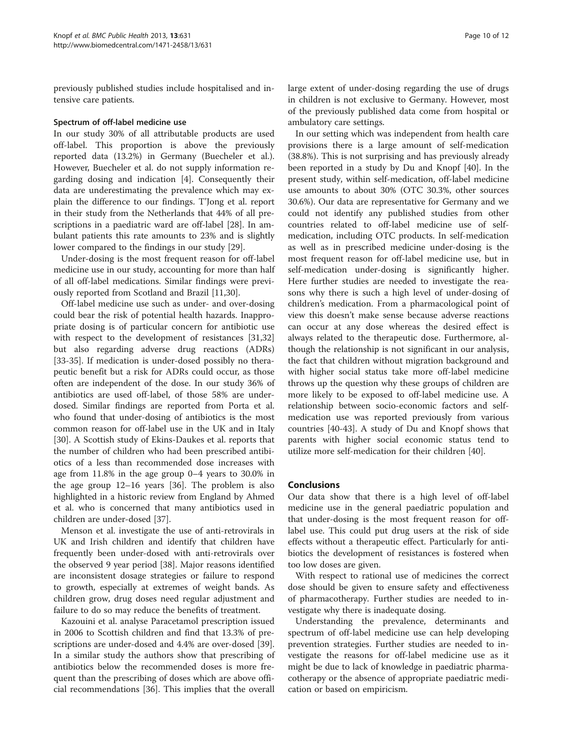previously published studies include hospitalised and intensive care patients.

# Spectrum of off-label medicine use

In our study 30% of all attributable products are used off-label. This proportion is above the previously reported data (13.2%) in Germany (Buecheler et al.). However, Buecheler et al. do not supply information regarding dosing and indication [[4\]](#page-10-0). Consequently their data are underestimating the prevalence which may explain the difference to our findings. T'Jong et al. report in their study from the Netherlands that 44% of all prescriptions in a paediatric ward are off-label [\[28](#page-10-0)]. In ambulant patients this rate amounts to 23% and is slightly lower compared to the findings in our study [\[29](#page-10-0)].

Under-dosing is the most frequent reason for off-label medicine use in our study, accounting for more than half of all off-label medications. Similar findings were previously reported from Scotland and Brazil [\[11,](#page-10-0)[30\]](#page-11-0).

Off-label medicine use such as under- and over-dosing could bear the risk of potential health hazards. Inappropriate dosing is of particular concern for antibiotic use with respect to the development of resistances [[31](#page-11-0),[32](#page-11-0)] but also regarding adverse drug reactions (ADRs) [[33-35](#page-11-0)]. If medication is under-dosed possibly no therapeutic benefit but a risk for ADRs could occur, as those often are independent of the dose. In our study 36% of antibiotics are used off-label, of those 58% are underdosed. Similar findings are reported from Porta et al. who found that under-dosing of antibiotics is the most common reason for off-label use in the UK and in Italy [[30\]](#page-11-0). A Scottish study of Ekins-Daukes et al. reports that the number of children who had been prescribed antibiotics of a less than recommended dose increases with age from 11.8% in the age group 0–4 years to 30.0% in the age group 12–16 years [\[36\]](#page-11-0). The problem is also highlighted in a historic review from England by Ahmed et al. who is concerned that many antibiotics used in children are under-dosed [[37\]](#page-11-0).

Menson et al. investigate the use of anti-retrovirals in UK and Irish children and identify that children have frequently been under-dosed with anti-retrovirals over the observed 9 year period [\[38](#page-11-0)]. Major reasons identified are inconsistent dosage strategies or failure to respond to growth, especially at extremes of weight bands. As children grow, drug doses need regular adjustment and failure to do so may reduce the benefits of treatment.

Kazouini et al. analyse Paracetamol prescription issued in 2006 to Scottish children and find that 13.3% of prescriptions are under-dosed and 4.4% are over-dosed [\[39](#page-11-0)]. In a similar study the authors show that prescribing of antibiotics below the recommended doses is more frequent than the prescribing of doses which are above official recommendations [\[36](#page-11-0)]. This implies that the overall large extent of under-dosing regarding the use of drugs in children is not exclusive to Germany. However, most of the previously published data come from hospital or ambulatory care settings.

In our setting which was independent from health care provisions there is a large amount of self-medication (38.8%). This is not surprising and has previously already been reported in a study by Du and Knopf [\[40\]](#page-11-0). In the present study, within self-medication, off-label medicine use amounts to about 30% (OTC 30.3%, other sources 30.6%). Our data are representative for Germany and we could not identify any published studies from other countries related to off-label medicine use of selfmedication, including OTC products. In self-medication as well as in prescribed medicine under-dosing is the most frequent reason for off-label medicine use, but in self-medication under-dosing is significantly higher. Here further studies are needed to investigate the reasons why there is such a high level of under-dosing of children's medication. From a pharmacological point of view this doesn't make sense because adverse reactions can occur at any dose whereas the desired effect is always related to the therapeutic dose. Furthermore, although the relationship is not significant in our analysis, the fact that children without migration background and with higher social status take more off-label medicine throws up the question why these groups of children are more likely to be exposed to off-label medicine use. A relationship between socio-economic factors and selfmedication use was reported previously from various countries [[40](#page-11-0)-[43\]](#page-11-0). A study of Du and Knopf shows that parents with higher social economic status tend to utilize more self-medication for their children [[40](#page-11-0)].

# Conclusions

Our data show that there is a high level of off-label medicine use in the general paediatric population and that under-dosing is the most frequent reason for offlabel use. This could put drug users at the risk of side effects without a therapeutic effect. Particularly for antibiotics the development of resistances is fostered when too low doses are given.

With respect to rational use of medicines the correct dose should be given to ensure safety and effectiveness of pharmacotherapy. Further studies are needed to investigate why there is inadequate dosing.

Understanding the prevalence, determinants and spectrum of off-label medicine use can help developing prevention strategies. Further studies are needed to investigate the reasons for off-label medicine use as it might be due to lack of knowledge in paediatric pharmacotherapy or the absence of appropriate paediatric medication or based on empiricism.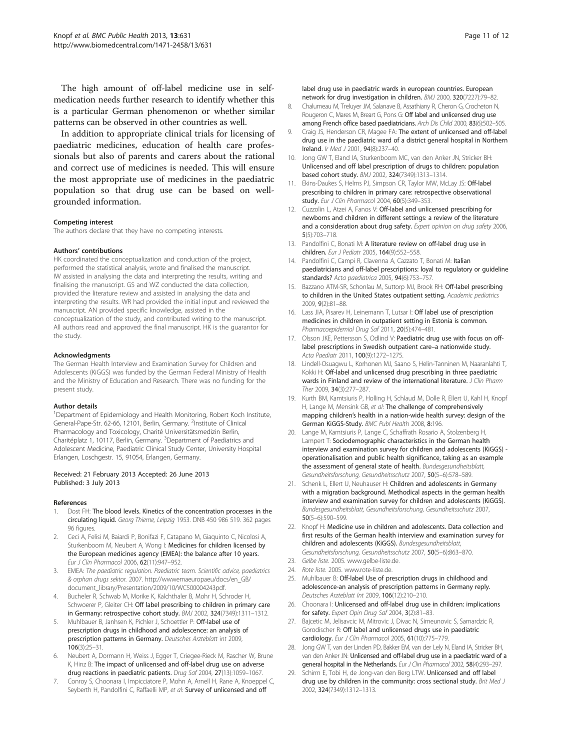<span id="page-10-0"></span>The high amount of off-label medicine use in selfmedication needs further research to identify whether this is a particular German phenomenon or whether similar patterns can be observed in other countries as well.

In addition to appropriate clinical trials for licensing of paediatric medicines, education of health care professionals but also of parents and carers about the rational and correct use of medicines is needed. This will ensure the most appropriate use of medicines in the paediatric population so that drug use can be based on wellgrounded information.

#### Competing interest

The authors declare that they have no competing interests.

#### Authors' contributions

HK coordinated the conceptualization and conduction of the project, performed the statistical analysis, wrote and finalised the manuscript. IW assisted in analysing the data and interpreting the results, writing and finalising the manuscript. GS and WZ conducted the data collection, provided the literature review and assisted in analysing the data and interpreting the results. WR had provided the initial input and reviewed the manuscript. AN provided specific knowledge, assisted in the conceptualization of the study, and contributed writing to the manuscript. All authors read and approved the final manuscript. HK is the guarantor for the study.

#### Acknowledgments

The German Health Interview and Examination Survey for Children and Adolescents (KiGGS) was funded by the German Federal Ministry of Health and the Ministry of Education and Research. There was no funding for the present study.

#### Author details

<sup>1</sup>Department of Epidemiology and Health Monitoring, Robert Koch Institute, General-Pape-Str. 62-66, 12101, Berlin, Germany. <sup>2</sup>Institute of Clinical Pharmacology and Toxicology, Charité Universitätsmedizin Berlin, Charitéplatz 1, 10117, Berlin, Germany. <sup>3</sup>Department of Paediatrics and Adolescent Medicine, Paediatric Clinical Study Center, University Hospital Erlangen, Loschgestr. 15, 91054, Erlangen, Germany.

#### Received: 21 February 2013 Accepted: 26 June 2013 Published: 3 July 2013

#### References

- 1. Dost FH: The blood levels. Kinetics of the concentration processes in the circulating liquid. Georg Thieme, Leipzig 1953. DNB 450 986 519. 362 pages 96 figures.
- 2. Ceci A, Felisi M, Baiardi P, Bonifazi F, Catapano M, Giaquinto C, Nicolosi A, Sturkenboom M, Neubert A, Wong I: Medicines for children licensed by the European medicines agency (EMEA): the balance after 10 years. Eur J Clin Pharmacol 2006, 62(11):947–952.
- 3. EMEA: The paediatric regulation. Paediatric team. Scientific advice, paediatrics & orphan drugs sektor. 2007. [http://wwwemaeuropaeu/docs/en\\_GB/](http://wwwemaeuropaeu/docs/en_GB/document_library/Presentation/2009/10/WC500004243pdf) [document\\_library/Presentation/2009/10/WC500004243pdf.](http://wwwemaeuropaeu/docs/en_GB/document_library/Presentation/2009/10/WC500004243pdf)
- 4. Bucheler R, Schwab M, Morike K, Kalchthaler B, Mohr H, Schroder H, Schwoerer P, Gleiter CH: Off label prescribing to children in primary care in Germany: retrospective cohort study. BMJ 2002, 324(7349):1311–1312.
- 5. Muhlbauer B, Janhsen K, Pichler J, Schoettler P: Off-label use of prescription drugs in childhood and adolescence: an analysis of prescription patterns in Germany. Deutsches Arzteblatt int 2009, 106(3):25–31.
- 6. Neubert A, Dormann H, Weiss J, Egger T, Criegee-Rieck M, Rascher W, Brune K, Hinz B: The impact of unlicensed and off-label drug use on adverse drug reactions in paediatric patients. Drug Saf 2004, 27(13):1059–1067.
- 7. Conroy S, Choonara I, Impicciatore P, Mohn A, Arnell H, Rane A, Knoeppel C, Seyberth H, Pandolfini C, Raffaelli MP, et al: Survey of unlicensed and off

label drug use in paediatric wards in european countries. European network for drug investigation in children. BMJ 2000, 320(7227):79–82.

- 8. Chalumeau M, Treluyer JM, Salanave B, Assathiany R, Cheron G, Crocheton N, Rougeron C, Mares M, Breart G, Pons G: Off label and unlicensed drug use among French office based paediatricians. Arch Dis Child 2000, 83(6):502–505.
- 9. Craig JS, Henderson CR, Magee FA: The extent of unlicensed and off-label drug use in the paediatric ward of a district general hospital in Northern Ireland. Ir Med J 2001, 94(8):237–40.
- 10. Jong GW T, Eland IA, Sturkenboom MC, van den Anker JN, Stricker BH: Unlicensed and off label prescription of drugs to children: population based cohort study. BMJ 2002, 324(7349):1313–1314.
- 11. Ekins-Daukes S, Helms PJ, Simpson CR, Taylor MW, McLay JS: Off-label prescribing to children in primary care: retrospective observational study. Eur J Clin Pharmacol 2004, 60(5):349–353.
- 12. Cuzzolin L, Atzei A, Fanos V: Off-label and unlicensed prescribing for newborns and children in different settings: a review of the literature and a consideration about drug safety. Expert opinion on drug safety 2006, 5(5):703–718.
- 13. Pandolfini C, Bonati M: A literature review on off-label drug use in children. Eur J Pediatr 2005, 164(9):552–558.
- 14. Pandolfini C, Campi R, Clavenna A, Cazzato T, Bonati M: Italian paediatricians and off-label prescriptions: loyal to regulatory or guideline standards? Acta paediatrica 2005, 94(6):753–757.
- 15. Bazzano ATM-SR, Schonlau M, Suttorp MJ, Brook RH: Off-label prescribing to children in the United States outpatient setting. Academic pediatrics 2009, 9(2):81–88.
- 16. Lass JIA, Pisarev H, Leinemann T, Lutsar I: Off label use of prescription medicines in children in outpatient setting in Estonia is common. Pharmacoepidemiol Drug Saf 2011, 20(5):474-481.
- 17. Olsson JKE, Pettersson S, Odlind V: Paediatric drug use with focus on offlabel prescriptions in Swedish outpatient care–a nationwide study. Acta Paediatr 2011, 100(9):1272–1275.
- 18. Lindell-Osuagwu L, Korhonen MJ, Saano S, Helin-Tanninen M, Naaranlahti T, Kokki H: Off-label and unlicensed drug prescribing in three paediatric wards in Finland and review of the international literature. *J Clin Pharm* Ther 2009, 34(3):277-287.
- 19. Kurth BM, Kamtsiuris P, Holling H, Schlaud M, Dolle R, Ellert U, Kahl H, Knopf H, Lange M, Mensink GB, et al: The challenge of comprehensively mapping children's health in a nation-wide health survey: design of the German KiGGS-Study. BMC Publ Health 2008, 8:196.
- 20. Lange M, Kamtsiuris P, Lange C, Schaffrath Rosario A, Stolzenberg H, Lampert T: Sociodemographic characteristics in the German health interview and examination survey for children and adolescents (KiGGS) operationalisation and public health significance, taking as an example the assessment of general state of health. Bundesgesundheitsblatt, Gesundheitsforschung, Gesundheitsschutz 2007, 50(5–6):578–589.
- 21. Schenk L, Ellert U, Neuhauser H: Children and adolescents in Germany with a migration background. Methodical aspects in the german health interview and examination survey for children and adolescents (KiGGS). Bundesgesundheitsblatt, Gesundheitsforschung, Gesundheitsschutz 2007, 50(5–6):590–599.
- 22. Knopf H: Medicine use in children and adolescents. Data collection and first results of the German health interview and examination survey for children and adolescents (KiGGS). Bundesgesundheitsblatt, Gesundheitsforschung, Gesundheitsschutz 2007, 50(5–6):863–870.
- 23. Gelbe liste. 2005. [www.gelbe-liste.de.](http://www.gelbe-liste.de)
- Rote liste. 2005. [www.rote-liste.de](http://www.rote-liste.de).
- 25. Muhlbauer B: Off-label Use of prescription drugs in childhood and adolescence-an analysis of prescription patterns in Germany reply. Deutsches Arzteblatt Int 2009, 106(12):210–210.
- Choonara I: Unlicensed and off-label drug use in children: implications for safety. Expert Opin Drug Saf 2004, 3(2):81–83.
- 27. Bajcetic M, Jelisavcic M, Mitrovic J, Divac N, Simeunovic S, Samardzic R, Gorodischer R: Off label and unlicensed drugs use in paediatric cardiology. Eur J Clin Pharmacol 2005, 61(10):775-779.
- 28. Jong GW T, van der Linden PD, Bakker EM, van der Lely N, Eland IA, Stricker BH, van den Anker JN: Unlicensed and off-label drug use in a paediatric ward of a general hospital in the Netherlands. Eur J Clin Pharmacol 2002, 58(4):293-297.
- 29. Schirm E, Tobi H, de Jong-van den Berg LTW. Unlicensed and off label drug use by children in the community: cross sectional study. Brit Med J 2002, 324(7349):1312–1313.